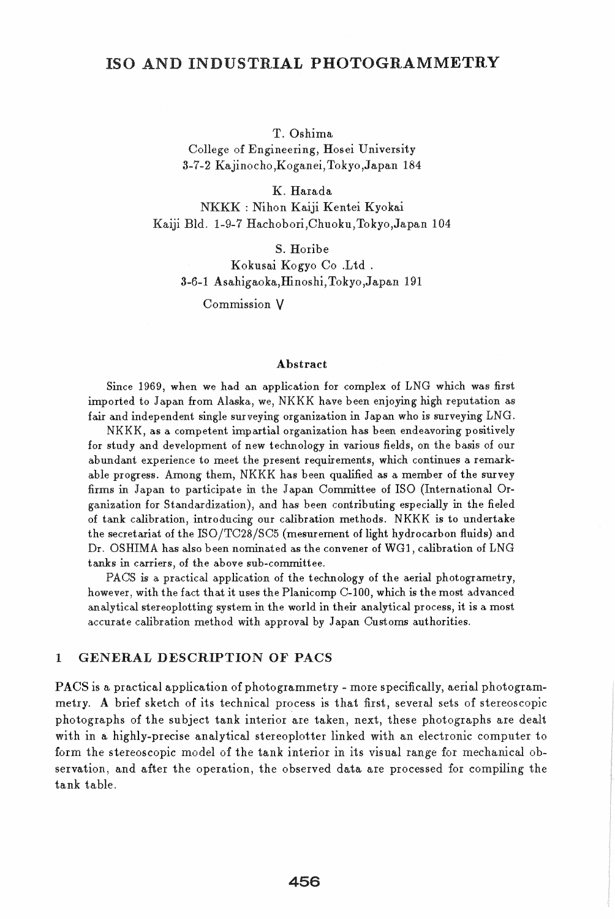## ISO AND INDUSTRIAL PHOTOGRAMMETRY

#### T. Oshima

College of Engineering, Hosei University 3-7-2 Kajinocho,Koganei, Tokyo ,Japan 184

K. Harada NKKK : Nihon Kaiji Kentei Kyokai Kaiji BId. 1-9-7 Hachobori,Chuoku,Tokyo,Japan 104

S. Horibe

Kokusai Kogyo Co .Ltd . 3-6-1 Asahigaoka,ffinoshi, Tokyo ,Japan 191

Commission V

#### Abstract

Since 1969, when we had an application for complex of LNG which was first imported to Japan from Alaska, we, NKKK have been enjoying high reputation as fair and independent single surveying organization in Japan who is surveying LNG.

NKKK, as a competent impartial organization has been endeavoring positively for study and development of new technology in various fields, on the basis of our abundant experience to meet the present requirements, which continues a remarkable progress. Among them, NKKK has been qualified as a member of the survey firms in Japan to participate in the Japan Committee of ISO (International Organization for Standardization), and has been contributing especially in the fieled of tank calibration, introducing our calibration methods. NKKK is to undertake the secretariat of the ISO/TC28/SC5 (mesurement of light hydrocarbon fluids) and Dr. OSHIMA has also been nominated as the convener of WG1, calibration of LNG tanks in carriers, of the above sub-committee.

PACS is a practical application of the technology of the aerial photogrametry, however, with the fact that it uses the Planicomp C-I00, which is the most advanced analytical stereoplotting system in the world in their analytical process, it is a most accurate calibration method with approval by Japan Customs authorities.

### 1 GENERAL DESCRIPTION OF PACS

PACS is a practical application of photogrammetry - more specifically, aerial photogrammetry. A brief sketch of its technical process is that first, several sets of stereoscopic photographs of the subject tank interior are taken, next, these photographs are dealt with in a highly-precise analytical stereoplotter linked with an electronic computer to form the stereoscopic model of the tank interior in its visual range for mechanical observation, and after the operation, the observed data are processed for compiling the tank table.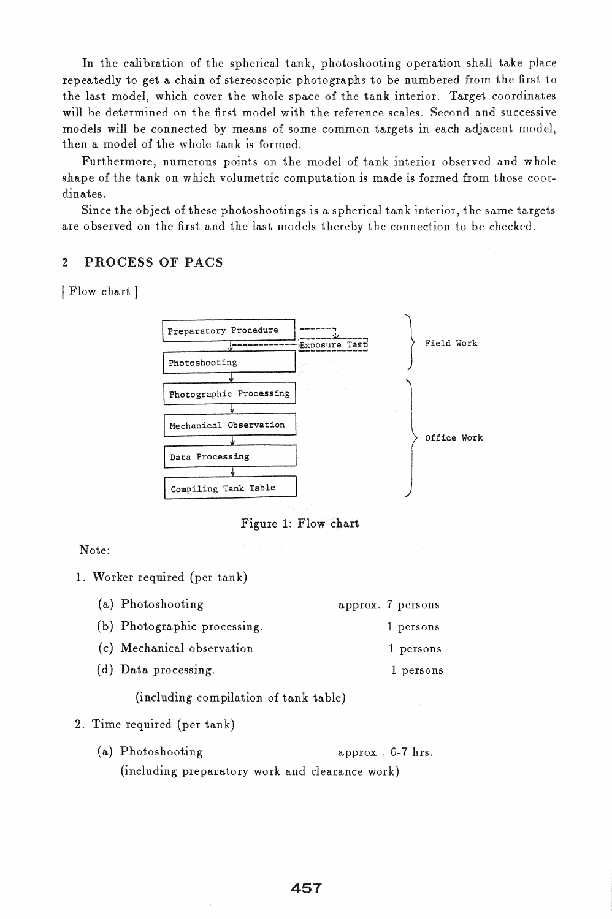In the calibration of the spherical tank, photoshooting operation shall take place repeatedly to get a chain of stereoscopic photographs to be numbered from the first to the last model, which cover the whole space of the tank interior. Target coordinates will be determined on the first model with the reference scales. Second and successive models will be connected by means of some common targets in each adjacent model, then a model of the whole tank is formed.

Furthermore, numerous points on the model of tank interior observed and whole shape of the tank on which volumetric computation is made is formed from those coordinates.

Since the object of these photoshootings is a spherical tank interior, the same targets are 0 bserved on the first and the last models thereby the connection to be checked.

### 2 PROCESS OF PACS

[ Flow chart ]



Figure 1: Flow chart

Note:

1. Worker required (per tank)

| (a) Photoshooting            | approx. 7 persons |
|------------------------------|-------------------|
| (b) Photographic processing. | 1 persons         |
| (c) Mechanical observation   | 1 persons         |
| (d) Data processing.         | 1 persons         |
|                              |                   |

(including compilation of tank table)

- 2. Time required (per tank)
	- (a) Photoshooting approx . 6-7 hrs. (including preparatory work and clearance work)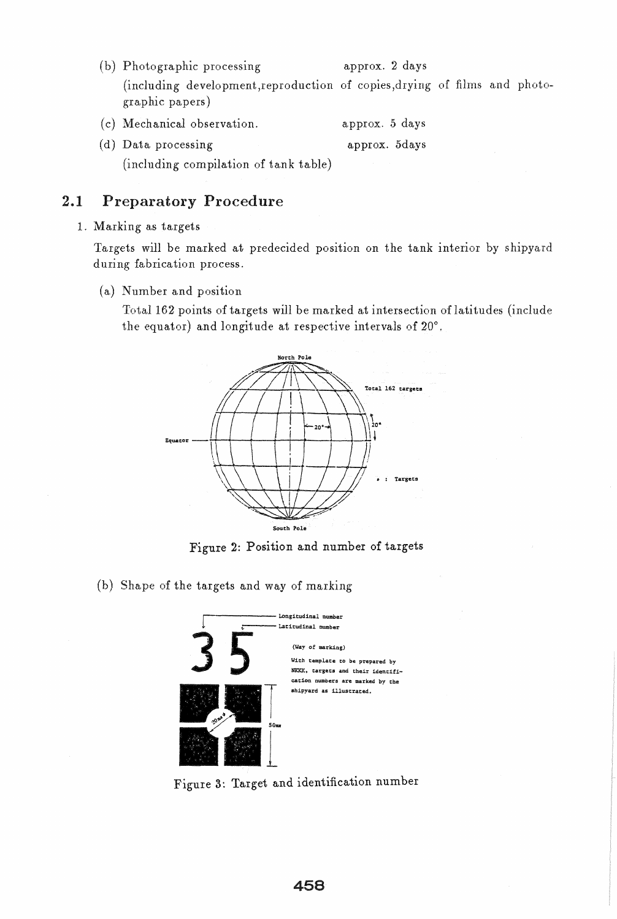(b) Photographic processing approx. 2 days (including development,reproduction of copies,drying of films and photographic papers)

| (c) Mechanical observation. | approx. 5 days |  |
|-----------------------------|----------------|--|
| (d) Data processing         | approx. 5days  |  |
|                             |                |  |

(including compilation of tank table)

# 2.1 Preparatory Procedure

## 1. Marking as targets

Targets will be marked at predecided position on the tank interior by shipyard during fabrication process.

(a) Number and position

Total 162 points of targets will be marked at intersection of latitudes (include the equator) and longitude at respective intervals of 20°.



Figure 2: Position and number of targets

(b) Shape of the targets and way of marking



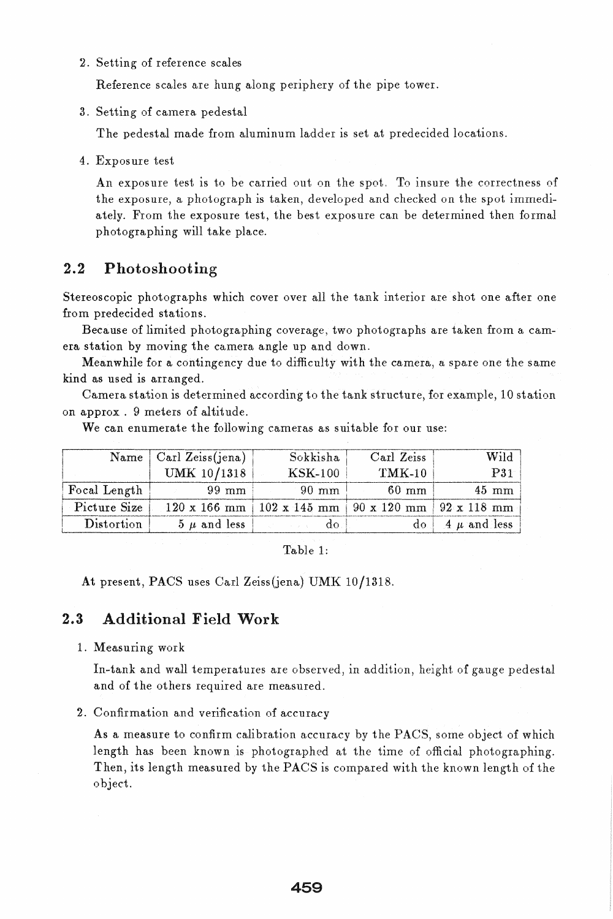2. Setting of reference scales

Reference scales are hung along periphery of the pipe tower.

3. Setting of camera pedestal

The pedestal made from aluminum ladder is set at predecided locations.

4. Expos ure test

An exposure test is to be carried out on the spot. To insure the correctness of the exposure, a photograph is taken, developed and checked on the spot immediately. From the exposure test, the best exposure can be determined then formal photographing will take place.

## 2.2 Photoshooting

Stereoscopic photographs which cover over all the tank interior are shot one after one from predecided stations.

Because of limited photographing coverage, two photographs are taken from a camera station by moving the camera angle up and down.

Meanwhile for a contingency due to difficulty with the camera, a spare one the same kind as used is arranged.

Camera station is determined according to the tank structure, for example, 10 station on approx . 9 meters of altitude.

|              | Name $\vert$ Carl Zeiss(jena) | Sokkisha                                                       | Carl Zeiss      | Wild                                              |
|--------------|-------------------------------|----------------------------------------------------------------|-----------------|---------------------------------------------------|
|              | UMK 10/1318                   | <b>KSK-100</b>                                                 | $TMK-10$        | P31                                               |
| Focal Length | $99 \text{ mm}$               | $-90$ mm                                                       | $60 \text{ mm}$ | $45 \text{ mm}$                                   |
| Picture Size |                               | $120 \times 166$ mm   102 x 145 mm   90 x 120 mm   92 x 118 mm |                 |                                                   |
| Distortion   | $5 \mu$ and less              | and the second doub                                            |                 | do   $\boldsymbol{A}$ $\boldsymbol{\mu}$ and less |

We can enumerate the following cameras as suitable for our use:

Table 1:

At present, PACS uses Carl Zeiss(jena) UMK 10/1318.

# 2.3 Additional Field Work

#### 1. Measuring work

In-tank and wall temperatures are observed, in addition, height of gauge pedestal and of the others required are measured.

2. Confirmation and verification of accuracy

As a measure to confirm calibration accuracy by the PACS, some object of which length has been known is photographed at the time of official photographing. Then, its length measured by the PACS is compared with the known length of the object.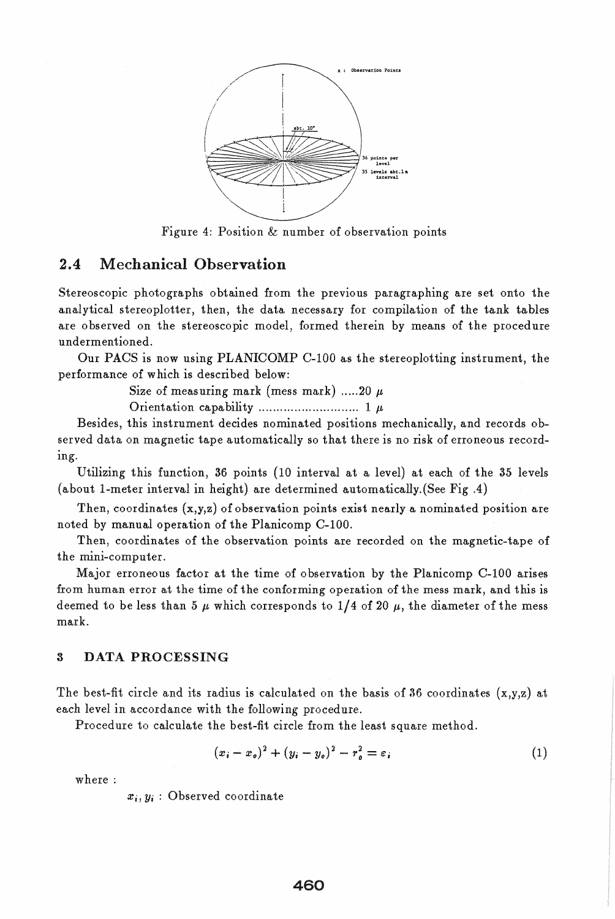

Figure 4: Position & number of observation points

## 2.4 Mechanical Observation

Stereoscopic photographs obtained from the previous paragraphing are set onto the analytical stereoplotter, then, the data necessary for compilation of the tank tables are observed on the stereoscopic model, formed therein by means of the procedure undermentioned.

Our PACS is now using PLANICOMP C-100 as the stereoplotting instrument, the performance of which is described below:

Size of measuring mark (mess mark) .....20  $\mu$ 

Orientation capability ............................ 1 JL

Besides, this instrument decides nominated positions mechanically, and records observed data on magnetic tape automatically so that there is no risk of erroneous record-Ing.

Utilizing this function, 36 points (10 interval at a level) at each of the 35 levels (about I-meter interval in height) are determined automatically.(See Fig A)

Then, coordinates (x,y,z) of observation points exist nearly a nominated position are noted by manual operation of the Planicomp C-100.

Then, coordinates of the observation points are recorded on the magnetic-tape of the mini-computer.

Major erroneous factor at the time of 0 bservation by the Planicomp C-100 arises from human error at the time of the conforming operation of the mess mark, and this is deemed to be less than 5  $\mu$  which corresponds to 1/4 of 20  $\mu$ , the diameter of the mess mark.

### 3 DATA PROCESSING

The best-fit circle and its radius is calculated on the basis of 36 coordinates  $(x,y,z)$  at each level in accordance with the following procedure.

Procedure to calculate the best-fit circle from the least square method.

$$
(x_i - x_o)^2 + (y_i - y_o)^2 - r_o^2 = \varepsilon_i
$$
 (1)

where:

 $x_i, y_i$ : Observed coordinate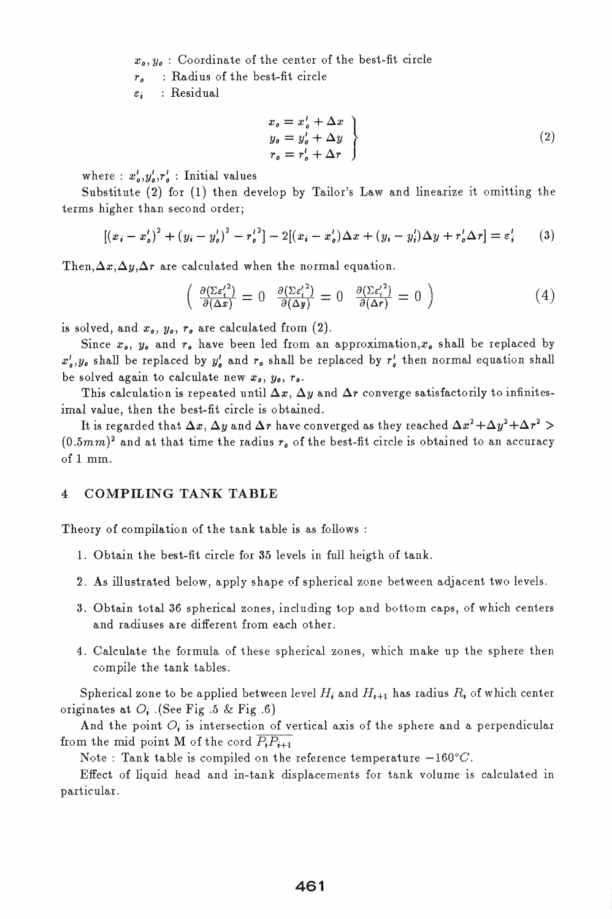$x_o, y_o$ : Coordinate of the center of the best-fit circle

*r* 0 : Radius of the best-fit circle

 $\varepsilon_i$  : Residual

$$
x_o = x_o' + \Delta x
$$
  
\n
$$
y_o = y_o' + \Delta y
$$
  
\n
$$
r_o = r_o' + \Delta r
$$
\n(2)

where :  $x_o^l, y_o^l, r_o^l$  : Initial values

Substitute (2) for (1) then develop by Tailor's Law and linearize it omitting the terms higher than second order;

$$
[(x_i - x'_o)^2 + (y_i - y'_o)^2 - r'_o^2] - 2[(x_i - x'_o)\Delta x + (y_i - y'_i)\Delta y + r'_o \Delta r] = \varepsilon'_i
$$
 (3)

Then,  $\Delta x, \Delta y, \Delta r$  are calculated when the normal equation.

$$
\left(\begin{array}{cc}\frac{\partial(\Sigma\varepsilon_{i}^{\prime 2})}{\partial(\Delta x)}=0 & \frac{\partial(\Sigma\varepsilon_{i}^{\prime 2})}{\partial(\Delta y)}=0 & \frac{\partial(\Sigma\varepsilon_{i}^{\prime 2})}{\partial(\Delta r)}=0\end{array}\right)
$$
(4)

is solved, and  $x_0$ ,  $y_0$ ,  $r_0$  are calculated from  $(2)$ .

Since  $x_0$ ,  $y_0$  and  $r_0$  have been led from an approximation, $x_0$  shall be replaced by  $x_0^l, y_0$  shall be replaced by  $y_0^l$  and  $r_0$  shall be replaced by  $r_0^l$  then normal equation shall be solved again to calculate new  $x_0$ ,  $y_0$ ,  $r_0$ .

This calculation is repeated until  $\Delta x$ ,  $\Delta y$  and  $\Delta r$  converge satisfactorily to infinitesimal value, then the best-fit circle is obtained.

It is regarded that  $\Delta x$ ,  $\Delta y$  and  $\Delta r$  have converged as they reached  $\Delta x^2 + \Delta y^2 + \Delta r^2$  >  $(0.5mm)^2$  and at that time the radius  $r<sub>o</sub>$  of the best-fit circle is obtained to an accuracy of 1 mm.

#### 4 COMPILING TANK TABLE

Theory of compilation of the tank table is as follows:

- 1. Obtain the best-fit circle for 35 levels in full heigth of tank.
- 2. As illustrated below) apply shape of spherical zone between adjacent two levels.
- 3. Obtain total 36 spherical zones, including top and bottom caps, of which centers and radiuses are different from each other.
- 4. Calculate the formula of these spherical zones, which make up the sphere then compile the tank tables.

Spherical zone to be applied between level  $H_i$  and  $H_{i+1}$  has radius  $R_i$  of which center originates at  $O_i$ . (See Fig .5 & Fig .6)

And the point  $O_i$  is intersection of vertical axis of the sphere and a perpendicular from the mid point M of the cord  $\overline{P_iP_{i+1}}$ 

Note: Tank table is compiled on the reference temperature  $-160^{\circ}C$ .

Effect of liquid head and in-tank displacements for tank volume is calculated in particular.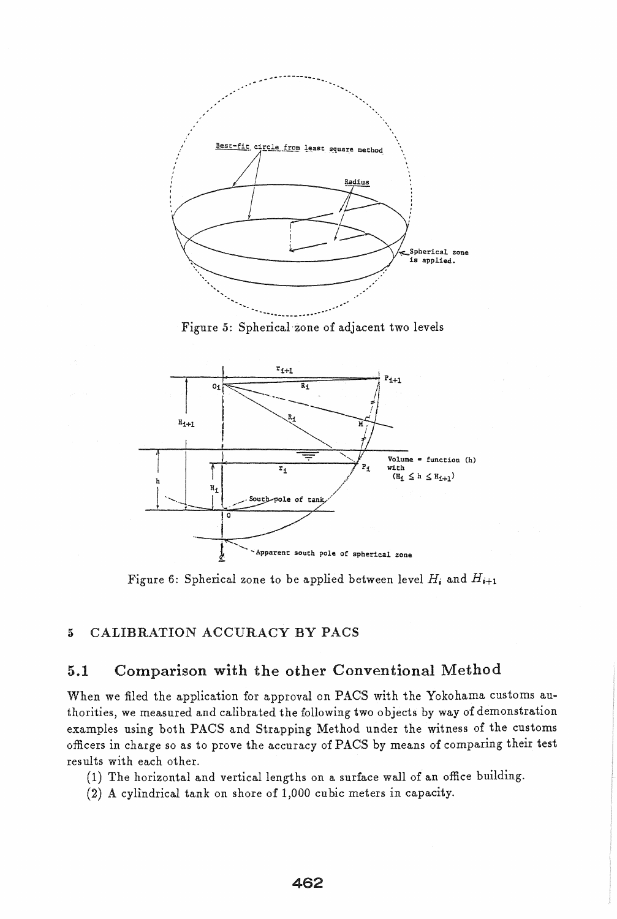

Figure 5: Spherical 'zone of adjacent two levels



Figure 6: Spherical zone to be applied between level  $H_i$  and  $H_{i+1}$ 

## 5 CALIBRATION ACCURACY BY PACS

## 5.1 Comparison with the other Conventional Method

When we filed the application for approval on PACS with the Yokohama customs authorities, we measured and calibrated the following two 0 bjects by way of demonstration examples using both PACS and Strapping Method under the witness of the customs officers in charge so as to prove the accuracy of PACS by means of comparing their test results with each other.

- (1) The horizontal and vertical lengths on a surface wall of an office building.
- (2) A cyllndrical tank on shore of 1,000 cubic meters in capacity.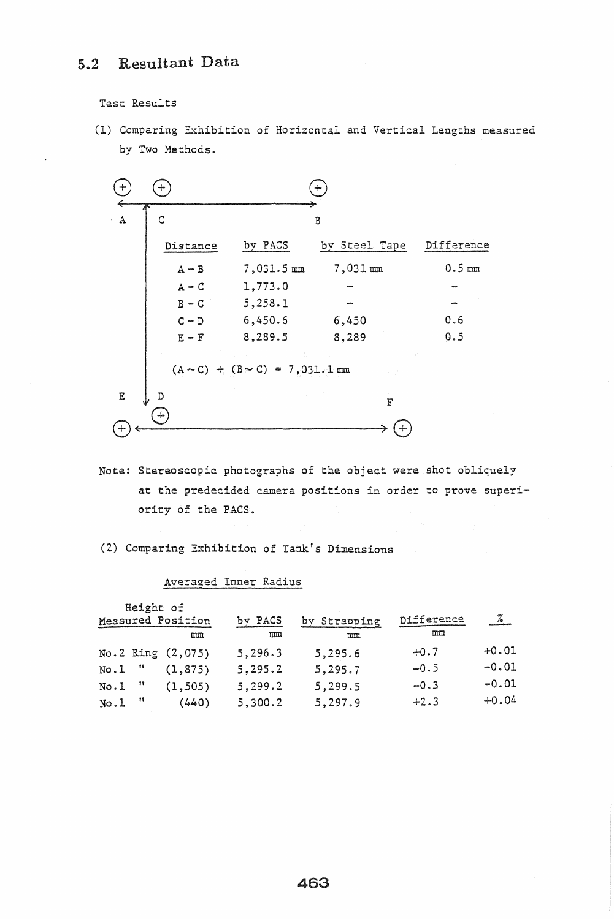# 5.2 Resultant Data

Test Results

(1) Comparing Exhibition of Horizontal and Vertical Lengths measured by Two Methods.



Note: Stereoscopic photographs of the object were shot obliquely at the predecided camera positions in order to prove superiority of the PACS.

(2) Comparing Exhibition of Tank's Dimensions

| Averaged Inner Radius |  |
|-----------------------|--|
|                       |  |

| Height of<br>Measured Position<br>mm |              | by PACS<br>mm     | by Strapping<br>mn | Difference<br>mn | $\frac{1}{2}$ |         |
|--------------------------------------|--------------|-------------------|--------------------|------------------|---------------|---------|
|                                      |              | No.2 Ring (2,075) | 5,296.3            | 5,295.6          | $+0.7$        | $+0.01$ |
| No.l                                 | $^{\prime}$  | (1, 875)          | 5, 295.2           | 5,295.7          | $-0.5$        | $-0.01$ |
| No.1                                 | - 88         | (1, 505)          | 5,299.2            | 5,299.5          | $-0.3$        | $-0.01$ |
| No.1                                 | $^{\bullet}$ | (440)             | 5,300.2            | 5,297.9          | $+2.3$        | $+0.04$ |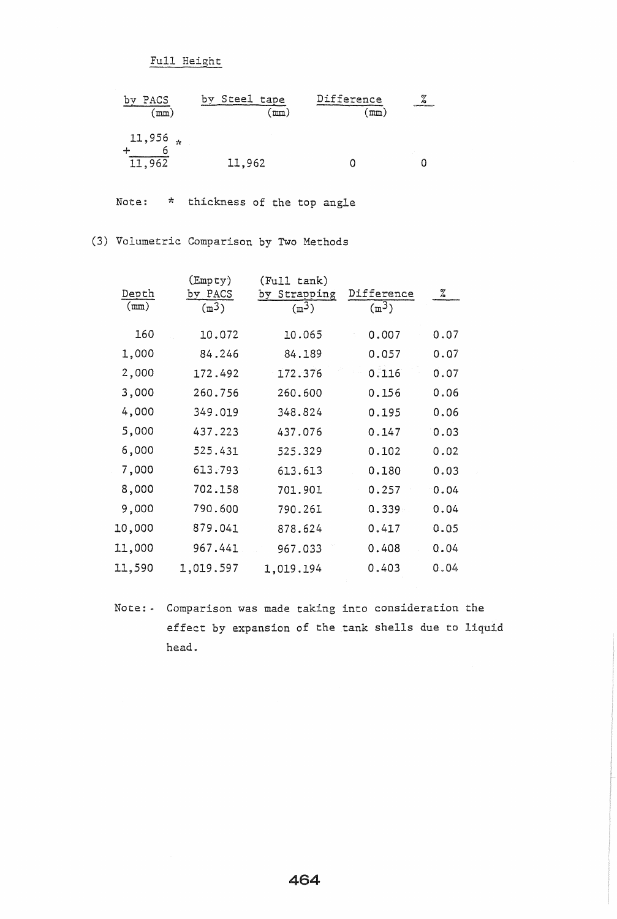Full Height

| PACS<br>$\texttt{mm}$ )   | Steel tape<br>by<br>m <sub>n</sub> | Difference<br>$\text{mm}$ | œ,<br><b>CONTRACTOR CONTRACTOR</b> |
|---------------------------|------------------------------------|---------------------------|------------------------------------|
| $11,956$ *<br>6<br>11,962 | 11,962                             |                           |                                    |

Note: \* thickness of the top angle

# (3) Volumetric Comparison by Two Methods

| Depth<br>(mm) | $(\texttt{Empty})$<br>PACS<br>bv<br>(m <sup>3</sup> ) | (Full tank)<br>Strapping<br>by<br>(m <sup>3</sup> ) | Difference<br>(m <sup>3</sup> ) | ℅    |
|---------------|-------------------------------------------------------|-----------------------------------------------------|---------------------------------|------|
| 160           | 10.072                                                | 10.065                                              | 0.007                           | 0.07 |
| 1,000         | 84.246                                                | 84.189                                              | 0.057                           | 0.07 |
| 2,000         | 172.492                                               | 172.376                                             | 0.116                           | 0.07 |
| 3,000         | 260.756                                               | 260.600                                             | 0.156                           | 0.06 |
| 4,000         | 349.019                                               | 348.824                                             | 0.195                           | 0.06 |
| 5,000         | 437.223                                               | 437.076                                             | 0.147                           | 0.03 |
| 6,000         | 525.431                                               | 525.329                                             | 0.102                           | 0.02 |
| 7,000         | 613.793                                               | 613.613                                             | 0.180                           | 0.03 |
| 8,000         | 702.158                                               | 701.901                                             | 0.257                           | 0.04 |
| 9,000         | 790.600                                               | 790.261                                             | 0.339                           | 0.04 |
| 10,000        | 879.041                                               | 878.624                                             | 0.417                           | 0.05 |
| 11,000        | 967.441                                               | 967.033                                             | 0.408                           | 0.04 |
| 11,590        | 1,019.597                                             | 1,019.194                                           | 0.403                           | 0.04 |
|               |                                                       |                                                     |                                 |      |

Note: - Comparison was made taking into consideration the effect by expansion of the tank shells due to liquid head.